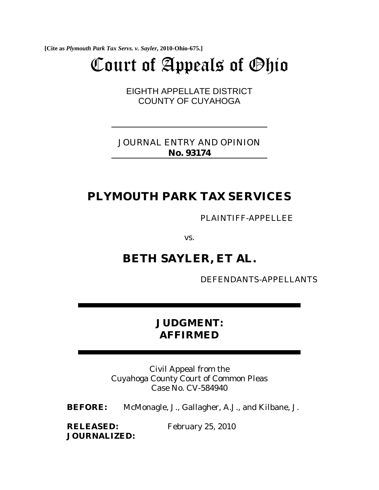**[Cite as** *Plymouth Park Tax Servs. v. Sayler***, 2010-Ohio-675.]**

# Court of Appeals of Ohio

EIGHTH APPELLATE DISTRICT COUNTY OF CUYAHOGA

JOURNAL ENTRY AND OPINION **No. 93174**

# **PLYMOUTH PARK TAX SERVICES**

PLAINTIFF-APPELLEE

vs.

## **BETH SAYLER, ET AL.**

DEFENDANTS-APPELLANTS

## **JUDGMENT: AFFIRMED**

Civil Appeal from the Cuyahoga County Court of Common Pleas Case No. CV-584940

**BEFORE:** McMonagle, J., Gallagher, A.J., and Kilbane, J.

**RELEASED:** February 25, 2010 **JOURNALIZED:**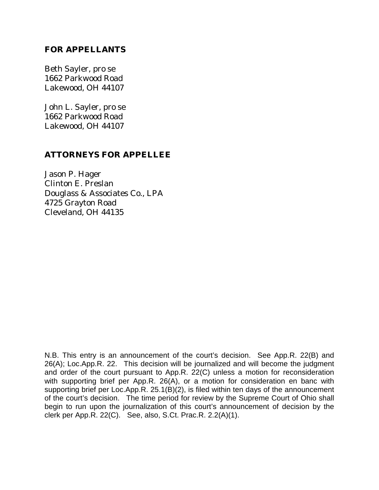### **FOR APPELLANTS**

Beth Sayler, pro se 1662 Parkwood Road Lakewood, OH 44107

John L. Sayler, pro se 1662 Parkwood Road Lakewood, OH 44107

### **ATTORNEYS FOR APPELLEE**

Jason P. Hager Clinton E. Preslan Douglass & Associates Co., LPA 4725 Grayton Road Cleveland, OH 44135

N.B. This entry is an announcement of the court's decision. See App.R. 22(B) and 26(A); Loc.App.R. 22. This decision will be journalized and will become the judgment and order of the court pursuant to App.R. 22(C) unless a motion for reconsideration with supporting brief per App.R. 26(A), or a motion for consideration en banc with supporting brief per Loc.App.R. 25.1(B)(2), is filed within ten days of the announcement of the court's decision. The time period for review by the Supreme Court of Ohio shall begin to run upon the journalization of this court's announcement of decision by the clerk per App.R. 22(C). See, also, S.Ct. Prac.R. 2.2(A)(1).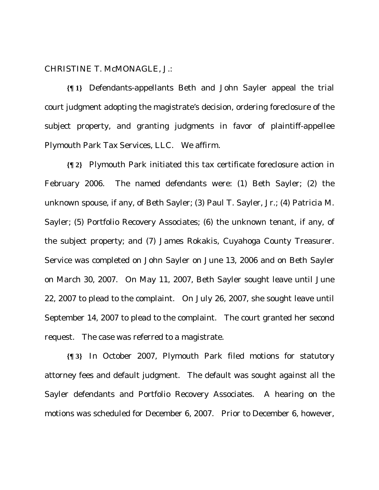CHRISTINE T. McMONAGLE, J.:

**{¶ 1}** Defendants-appellants Beth and John Sayler appeal the trial court judgment adopting the magistrate's decision, ordering foreclosure of the subject property, and granting judgments in favor of plaintiff-appellee Plymouth Park Tax Services, LLC. We affirm.

**{¶ 2}** Plymouth Park initiated this tax certificate foreclosure action in February 2006. The named defendants were: (1) Beth Sayler; (2) the unknown spouse, if any, of Beth Sayler; (3) Paul T. Sayler, Jr.; (4) Patricia M. Sayler; (5) Portfolio Recovery Associates; (6) the unknown tenant, if any, of the subject property; and (7) James Rokakis, Cuyahoga County Treasurer. Service was completed on John Sayler on June 13, 2006 and on Beth Sayler on March 30, 2007. On May 11, 2007, Beth Sayler sought leave until June 22, 2007 to plead to the complaint. On July 26, 2007, she sought leave until September 14, 2007 to plead to the complaint. The court granted her second request. The case was referred to a magistrate.

**{¶ 3}** In October 2007, Plymouth Park filed motions for statutory attorney fees and default judgment. The default was sought against all the Sayler defendants and Portfolio Recovery Associates. A hearing on the motions was scheduled for December 6, 2007. Prior to December 6, however,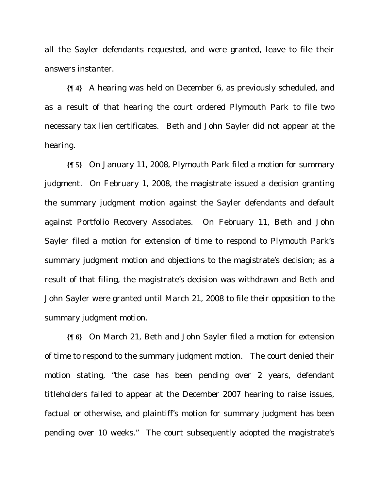all the Sayler defendants requested, and were granted, leave to file their answers instanter.

**{¶ 4}** A hearing was held on December 6, as previously scheduled, and as a result of that hearing the court ordered Plymouth Park to file two necessary tax lien certificates. Beth and John Sayler did not appear at the hearing.

**{¶ 5}** On January 11, 2008, Plymouth Park filed a motion for summary judgment. On February 1, 2008, the magistrate issued a decision granting the summary judgment motion against the Sayler defendants and default against Portfolio Recovery Associates. On February 11, Beth and John Sayler filed a motion for extension of time to respond to Plymouth Park's summary judgment motion and objections to the magistrate's decision; as a result of that filing, the magistrate's decision was withdrawn and Beth and John Sayler were granted until March 21, 2008 to file their opposition to the summary judgment motion.

**{¶ 6}** On March 21, Beth and John Sayler filed a motion for extension of time to respond to the summary judgment motion. The court denied their motion stating, "the case has been pending over 2 years, defendant titleholders failed to appear at the December 2007 hearing to raise issues, factual or otherwise, and plaintiff's motion for summary judgment has been pending over 10 weeks." The court subsequently adopted the magistrate's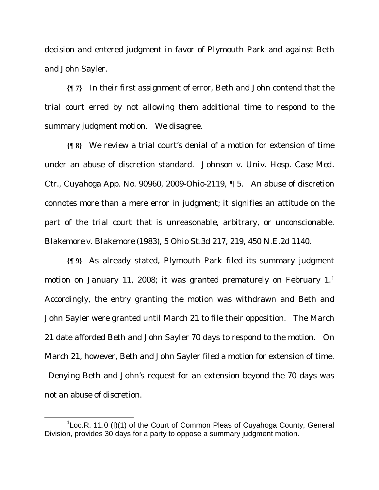decision and entered judgment in favor of Plymouth Park and against Beth and John Sayler.

**{¶ 7}** In their first assignment of error, Beth and John contend that the trial court erred by not allowing them additional time to respond to the summary judgment motion. We disagree.

**{¶ 8}** We review a trial court's denial of a motion for extension of time under an abuse of discretion standard. *Johnson v. Univ. Hosp. Case Med. Ctr.*, Cuyahoga App. No. 90960, 2009-Ohio-2119, ¶ 5. An abuse of discretion connotes more than a mere error in judgment; it signifies an attitude on the part of the trial court that is unreasonable, arbitrary, or unconscionable. *Blakemore v. Blakemore* (1983), 5 Ohio St.3d 217, 219, 450 N.E.2d 1140.

**{¶ 9}** As already stated, Plymouth Park filed its summary judgment motion on January 11, 2008; it was granted prematurely on February 1.1 Accordingly, the entry granting the motion was withdrawn and Beth and John Sayler were granted until March 21 to file their opposition. The March 21 date afforded Beth and John Sayler 70 days to respond to the motion. On March 21, however, Beth and John Sayler filed a motion for extension of time. Denying Beth and John's request for an extension beyond the 70 days was not an abuse of discretion.

 $\frac{1}{1}$  ${}^{1}$ Loc.R. 11.0 (I)(1) of the Court of Common Pleas of Cuyahoga County, General Division, provides 30 days for a party to oppose a summary judgment motion.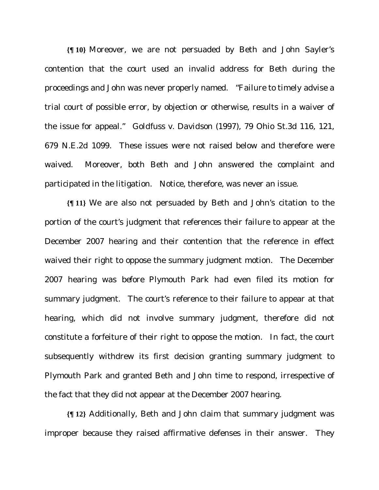**{¶ 10}** Moreover, we are not persuaded by Beth and John Sayler's contention that the court used an invalid address for Beth during the proceedings and John was never properly named. "Failure to timely advise a trial court of possible error, by objection or otherwise, results in a waiver of the issue for appeal." *Goldfuss v. Davidson* (1997), 79 Ohio St.3d 116, 121, 679 N.E.2d 1099. These issues were not raised below and therefore were waived. Moreover, both Beth and John answered the complaint and participated in the litigation. Notice, therefore, was never an issue.

**{¶ 11}** We are also not persuaded by Beth and John's citation to the portion of the court's judgment that references their failure to appear at the December 2007 hearing and their contention that the reference in effect waived their right to oppose the summary judgment motion. The December 2007 hearing was *before* Plymouth Park had even filed its motion for summary judgment. The court's reference to their failure to appear at that hearing, which did not involve summary judgment, therefore did not constitute a forfeiture of their right to oppose the motion. In fact, the court subsequently withdrew its first decision granting summary judgment to Plymouth Park and granted Beth and John time to respond, irrespective of the fact that they did not appear at the December 2007 hearing.

**{¶ 12}** Additionally, Beth and John claim that summary judgment was improper because they raised affirmative defenses in their answer. They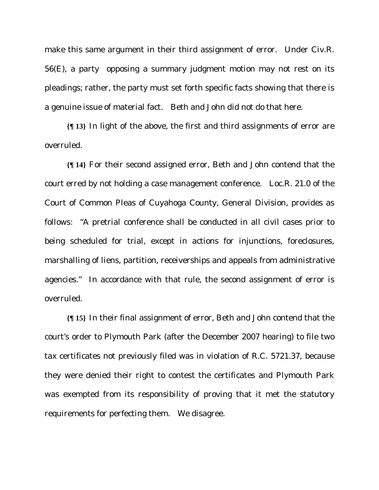make this same argument in their third assignment of error. Under Civ.R. 56(E), a party opposing a summary judgment motion may not rest on its pleadings; rather, the party must set forth specific facts showing that there is a genuine issue of material fact. Beth and John did not do that here.

**{¶ 13}** In light of the above, the first and third assignments of error are overruled.

**{¶ 14}** For their second assigned error, Beth and John contend that the court erred by not holding a case management conference. Loc.R. 21.0 of the Court of Common Pleas of Cuyahoga County, General Division, provides as follows: "A pretrial conference shall be conducted in all civil cases prior to being scheduled for trial, except in actions for injunctions, foreclosures, marshalling of liens, partition, receiverships and appeals from administrative agencies." In accordance with that rule, the second assignment of error is overruled.

**{¶ 15}** In their final assignment of error, Beth and John contend that the court's order to Plymouth Park (after the December 2007 hearing) to file two tax certificates not previously filed was in violation of R.C. 5721.37, because they were denied their right to contest the certificates and Plymouth Park was exempted from its responsibility of proving that it met the statutory requirements for perfecting them. We disagree.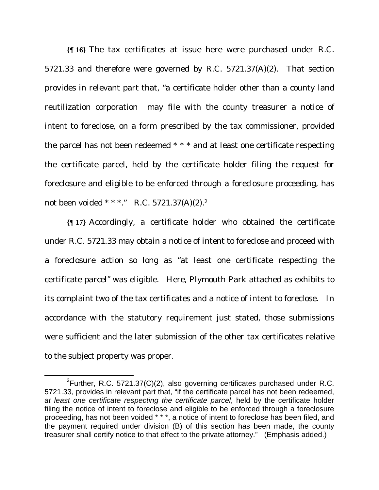**{¶ 16}** The tax certificates at issue here were purchased under R.C. 5721.33 and therefore were governed by R.C. 5721.37(A)(2). That section provides in relevant part that, "a certificate holder other than a county land reutilization corporation may file with the county treasurer a notice of intent to foreclose, on a form prescribed by the tax commissioner, provided the parcel has not been redeemed \* \* \* and at least one certificate respecting the certificate parcel, held by the certificate holder filing the request for foreclosure and eligible to be enforced through a foreclosure proceeding, has not been voided \* \* \*." R.C. 5721.37(A)(2).2

**{¶ 17}** Accordingly, a certificate holder who obtained the certificate under R.C. 5721.33 may obtain a notice of intent to foreclose and proceed with a foreclosure action so long as "at least one certificate respecting the certificate parcel" was eligible. Here, Plymouth Park attached as exhibits to its complaint two of the tax certificates and a notice of intent to foreclose. In accordance with the statutory requirement just stated, those submissions were sufficient and the later submission of the other tax certificates relative to the subject property was proper.

 $\frac{1}{2}$ <sup>2</sup>Further, R.C. 5721.37(C)(2), also governing certificates purchased under R.C. 5721.33, provides in relevant part that, "if the certificate parcel has not been redeemed, *at least one certificate respecting the certificate parcel*, held by the certificate holder filing the notice of intent to foreclose and eligible to be enforced through a foreclosure proceeding, has not been voided \* \* \*, a notice of intent to foreclose has been filed, and the payment required under division (B) of this section has been made, the county treasurer shall certify notice to that effect to the private attorney." (Emphasis added.)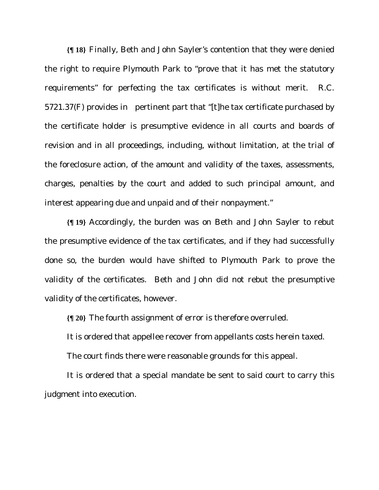**{¶ 18}** Finally, Beth and John Sayler's contention that they were denied the right to require Plymouth Park to "prove that it has met the statutory requirements" for perfecting the tax certificates is without merit. R.C. 5721.37(F) provides in pertinent part that "[t]he tax certificate purchased by the certificate holder is presumptive evidence in all courts and boards of revision and in all proceedings, including, without limitation, at the trial of the foreclosure action, of the amount and validity of the taxes, assessments, charges, penalties by the court and added to such principal amount, and interest appearing due and unpaid and of their nonpayment."

**{¶ 19}** Accordingly, the burden was on Beth and John Sayler to rebut the presumptive evidence of the tax certificates, and if they had successfully done so, the burden would have shifted to Plymouth Park to prove the validity of the certificates. Beth and John did not rebut the presumptive validity of the certificates, however.

**{¶ 20}** The fourth assignment of error is therefore overruled.

It is ordered that appellee recover from appellants costs herein taxed.

The court finds there were reasonable grounds for this appeal.

It is ordered that a special mandate be sent to said court to carry this judgment into execution.